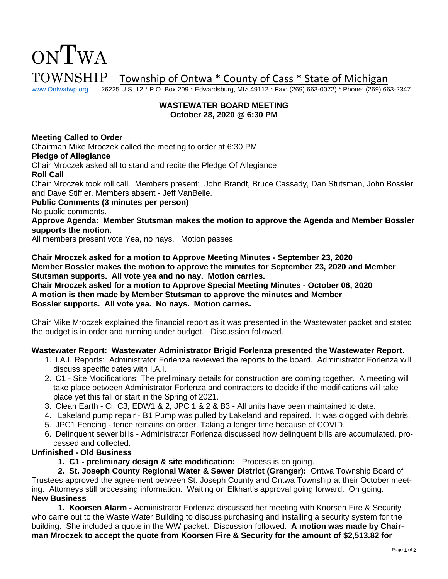# ONTWA  $\text{TOWNSHIP}$  Township of Ontwa \* County of Cass \* State of Michigan www.Ontwatwp.org 26225 U.S. 12 \* P.O. Box 209 \* Edwardsburg, MI> 49112 \* Fax: (269) 663-0072) \* Phone: (269) 66

26225 U.S. 12 \* P.O. Box 209 \* Edwardsburg, MI> 49112 \* Fax: (269) 663-0072) \* Phone: (269) 663-2347

# **WASTEWATER BOARD MEETING October 28, 2020 @ 6:30 PM**

# **Meeting Called to Order**

Chairman Mike Mroczek called the meeting to order at 6:30 PM

#### **Pledge of Allegiance**

Chair Mroczek asked all to stand and recite the Pledge Of Allegiance

# **Roll Call**

Chair Mroczek took roll call. Members present: John Brandt, Bruce Cassady, Dan Stutsman, John Bossler and Dave Stiffler. Members absent - Jeff VanBelle.

# **Public Comments (3 minutes per person)**

No public comments.

**Approve Agenda: Member Stutsman makes the motion to approve the Agenda and Member Bossler supports the motion.** 

All members present vote Yea, no nays. Motion passes.

**Chair Mroczek asked for a motion to Approve Meeting Minutes - September 23, 2020 Member Bossler makes the motion to approve the minutes for September 23, 2020 and Member Stutsman supports. All vote yea and no nay. Motion carries.**

**Chair Mroczek asked for a motion to Approve Special Meeting Minutes - October 06, 2020 A motion is then made by Member Stutsman to approve the minutes and Member Bossler supports. All vote yea. No nays. Motion carries.** 

Chair Mike Mroczek explained the financial report as it was presented in the Wastewater packet and stated the budget is in order and running under budget. Discussion followed.

#### **Wastewater Report: Wastewater Administrator Brigid Forlenza presented the Wastewater Report.**

- 1. I.A.I. Reports: Administrator Forlenza reviewed the reports to the board. Administrator Forlenza will discuss specific dates with I.A.I.
- 2. C1 Site Modifications: The preliminary details for construction are coming together. A meeting will take place between Administrator Forlenza and contractors to decide if the modifications will take place yet this fall or start in the Spring of 2021.
- 3. Clean Earth Ci, C3, EDW1 & 2, JPC 1 & 2 & B3 All units have been maintained to date.
- 4. Lakeland pump repair B1 Pump was pulled by Lakeland and repaired. It was clogged with debris.
- 5. JPC1 Fencing fence remains on order. Taking a longer time because of COVID.
- 6. Delinquent sewer bills Administrator Forlenza discussed how delinquent bills are accumulated, processed and collected.

#### **Unfinished - Old Business**

**1. C1 - preliminary design & site modification:** Process is on going.

**2. St. Joseph County Regional Water & Sewer District (Granger):** Ontwa Township Board of Trustees approved the agreement between St. Joseph County and Ontwa Township at their October meeting. Attorneys still processing information. Waiting on Elkhart's approval going forward. On going. **New Business**

**1. Koorsen Alarm -** Administrator Forlenza discussed her meeting with Koorsen Fire & Security who came out to the Waste Water Building to discuss purchasing and installing a security system for the building. She included a quote in the WW packet. Discussion followed. **A motion was made by Chairman Mroczek to accept the quote from Koorsen Fire & Security for the amount of \$2,513.82 for**